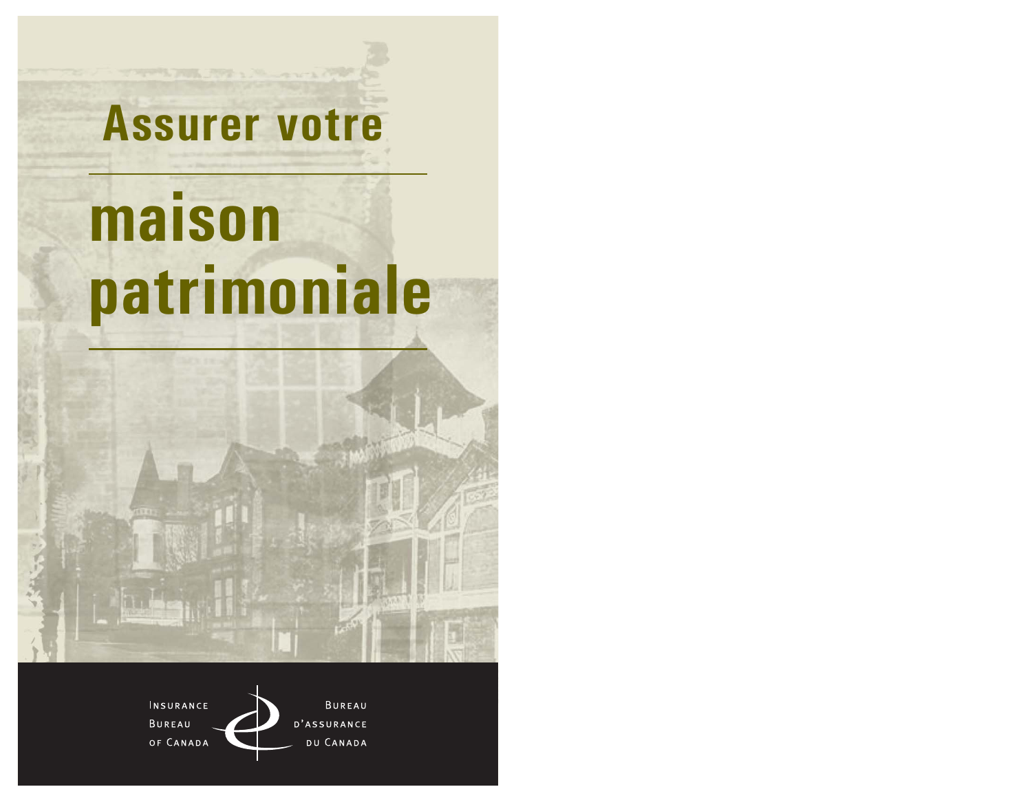# **Assurer votre** maison patrimoniale

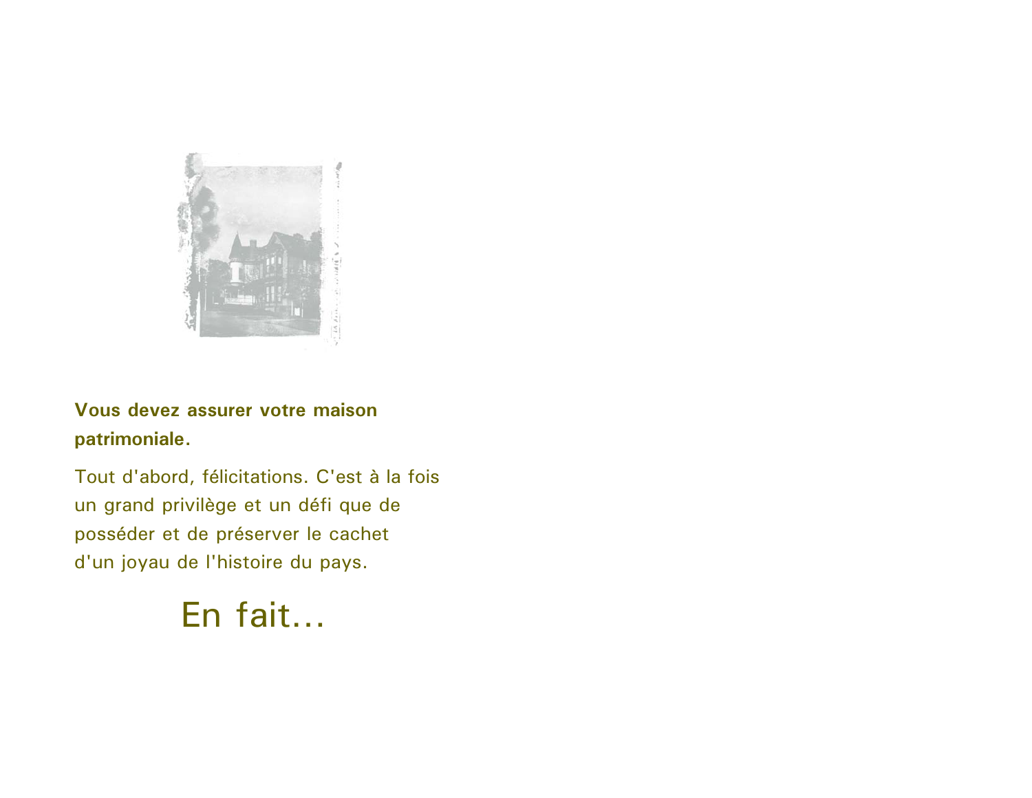

Vous devez assurer votre maison patrimoniale.

Tout d'abord, félicitations. C'est à la fois un grand privilège et un défi que de posséder et de préserver le cachet d'un joyau de l'histoire du pays.

En fait...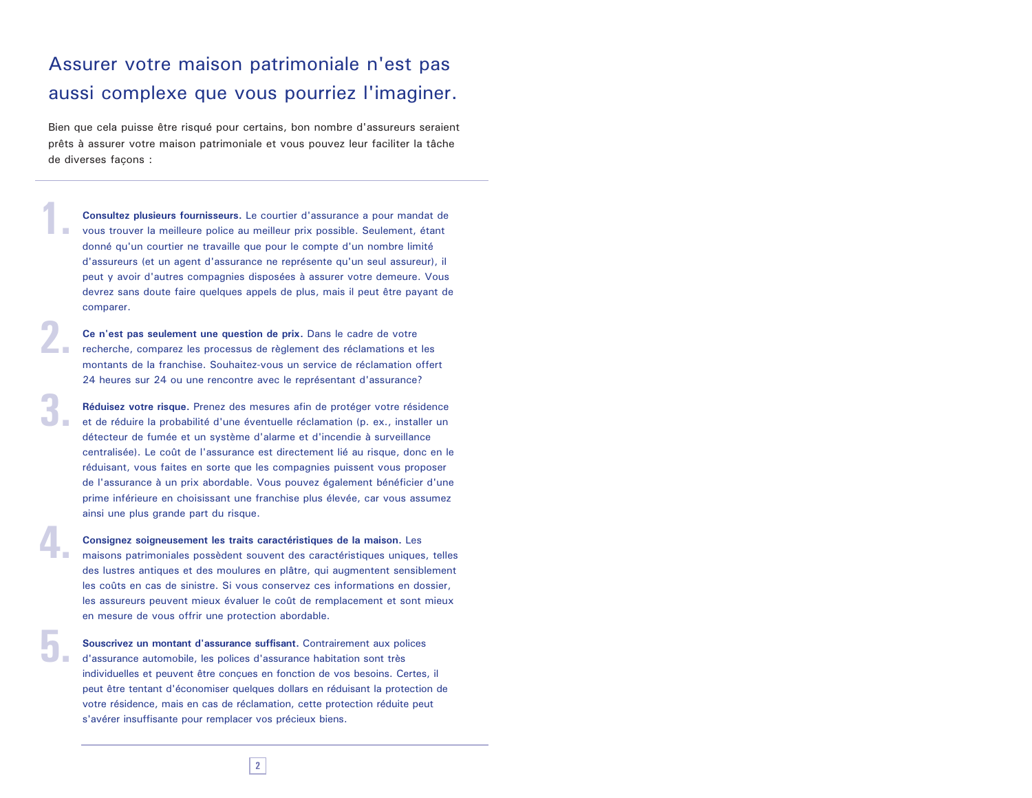### Assurer votre maison patrimoniale n'est pas aussi complexe que vous pourriez l'imaginer.

Bien que cela puisse être risqué pour certains, bon nombre d'assureurs seraient prêts à assurer votre maison patrimoniale et vous pouvez leur faciliter la tâche de diverses facons :

Consultez plusieurs fournisseurs. Le courtier d'assurance a pour mandat de vous trouver la meilleure police au meilleur prix possible. Seulement, étant donné qu'un courtier ne travaille que pour le compte d'un nombre limité d'assureurs (et un agent d'assurance ne représente qu'un seul assureur), il peut y avoir d'autres compagnies disposées à assurer votre demeure. Vous devrez sans doute faire quelques appels de plus, mais il peut être payant de comparer.

Ce n'est pas seulement une question de prix. Dans le cadre de votre recherche, comparez les processus de règlement des réclamations et les montants de la franchise. Souhaitez-vous un service de réclamation offert 24 heures sur 24 ou une rencontre avec le représentant d'assurance?

Réduisez votre risque. Prenez des mesures afin de protéger votre résidence et de réduire la probabilité d'une éventuelle réclamation (p. ex., installer un détecteur de fumée et un système d'alarme et d'incendie à surveillance centralisée). Le coût de l'assurance est directement lié au risque, donc en le réduisant, vous faites en sorte que les compagnies puissent vous proposer de l'assurance à un prix abordable. Vous pouvez également bénéficier d'une prime inférieure en choisissant une franchise plus élevée, car vous assumez ainsi une plus grande part du risque.

Consignez soigneusement les traits caractéristiques de la maison. Les maisons patrimoniales possèdent souvent des caractéristiques uniques, telles des lustres antiques et des moulures en plâtre, qui augmentent sensiblement les coûts en cas de sinistre. Si vous conservez ces informations en dossier, les assureurs peuvent mieux évaluer le coût de remplacement et sont mieux en mesure de vous offrir une protection abordable.

Souscrivez un montant d'assurance suffisant. Contrairement aux polices d'assurance automobile, les polices d'assurance habitation sont très individuelles et peuvent être conçues en fonction de vos besoins. Certes, il peut être tentant d'économiser quelques dollars en réduisant la protection de votre résidence, mais en cas de réclamation, cette protection réduite peut s'avérer insuffisante pour remplacer vos précieux biens.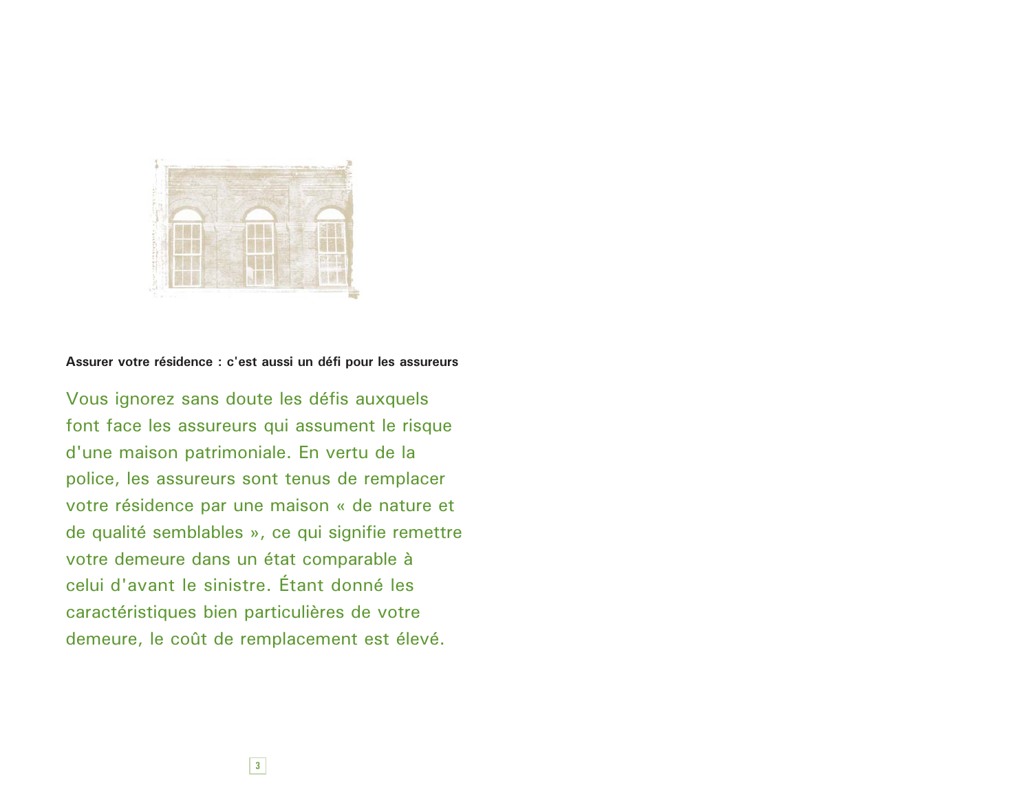

Assurer votre résidence : c'est aussi un défi pour les assureurs

Vous ignorez sans doute les défis auxquels font face les assureurs qui assument le risque d'une maison patrimoniale. En vertu de la police, les assureurs sont tenus de remplacer votre résidence par une maison « de nature et de qualité semblables », ce qui signifie remettre votre demeure dans un état comparable à celui d'avant le sinistre. Étant donné les caractéristiques bien particulières de votre demeure, le coût de remplacement est élevé.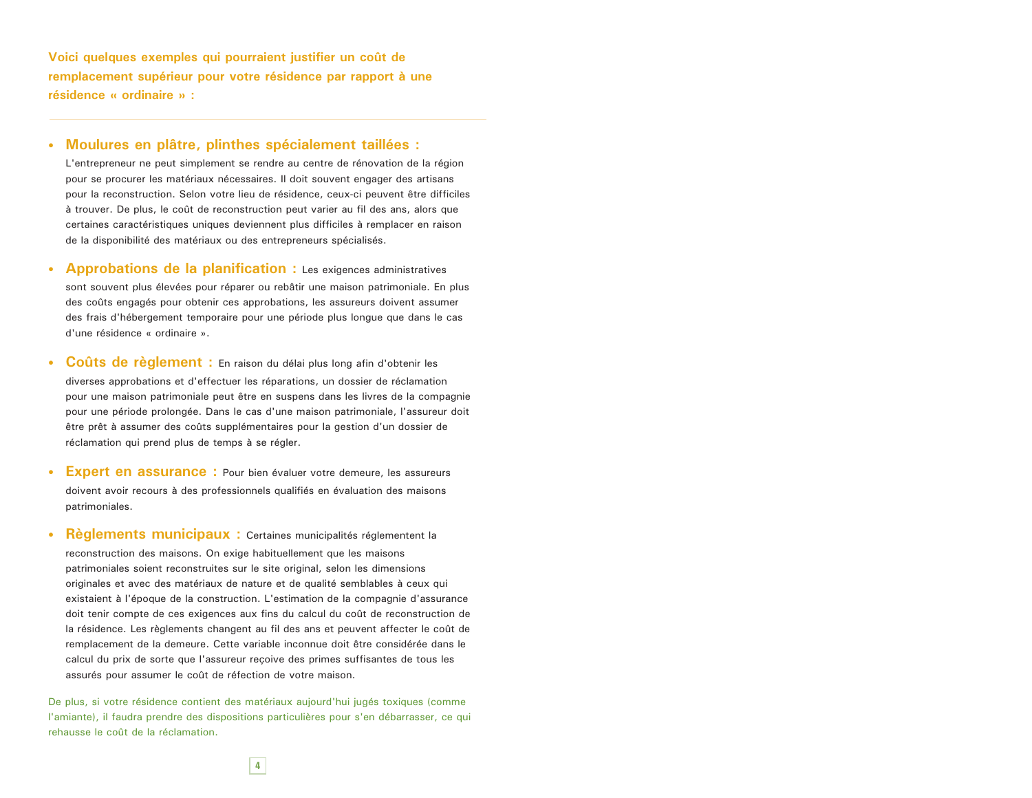Voici quelques exemples qui pourraient justifier un coût de remplacement supérieur pour votre résidence par rapport à une résidence « ordinaire » :

#### · Moulures en plâtre, plinthes spécialement taillées :

L'entrepreneur ne peut simplement se rendre au centre de rénovation de la région pour se procurer les matériaux nécessaires. Il doit souvent engager des artisans pour la reconstruction. Selon votre lieu de résidence, ceux-ci peuvent être difficiles à trouver. De plus, le coût de reconstruction peut varier au fil des ans, alors que certaines caractéristiques uniques deviennent plus difficiles à remplacer en raison de la disponibilité des matériaux ou des entrepreneurs spécialisés.

- Approbations de la planification : Les exigences administratives sont souvent plus élevées pour réparer ou rebâtir une maison patrimoniale. En plus des coûts engagés pour obtenir ces approbations, les assureurs doivent assumer des frais d'hébergement temporaire pour une période plus longue que dans le cas d'une résidence « ordinaire ».
- Coûts de règlement : En raison du délai plus long afin d'obtenir les diverses approbations et d'effectuer les réparations, un dossier de réclamation pour une maison patrimoniale peut être en suspens dans les livres de la compagnie pour une période prolongée. Dans le cas d'une maison patrimoniale, l'assureur doit être prêt à assumer des coûts supplémentaires pour la gestion d'un dossier de réclamation qui prend plus de temps à se régler.
- Expert en assurance : Pour bien évaluer votre demeure, les assureurs doivent avoir recours à des professionnels qualifiés en évaluation des maisons patrimoniales.
- Règlements municipaux : Certaines municipalités réglementent la reconstruction des maisons. On exige habituellement que les maisons patrimoniales soient reconstruites sur le site original, selon les dimensions originales et avec des matériaux de nature et de qualité semblables à ceux qui existaient à l'époque de la construction. L'estimation de la compagnie d'assurance doit tenir compte de ces exigences aux fins du calcul du coût de reconstruction de la résidence. Les règlements changent au fil des ans et peuvent affecter le coût de remplacement de la demeure. Cette variable inconnue doit être considérée dans le calcul du prix de sorte que l'assureur reçoive des primes suffisantes de tous les assurés pour assumer le coût de réfection de votre maison.

De plus, si votre résidence contient des matériaux aujourd'hui jugés toxiques (comme l'amiante), il faudra prendre des dispositions particulières pour s'en débarrasser, ce qui rehausse le coût de la réclamation.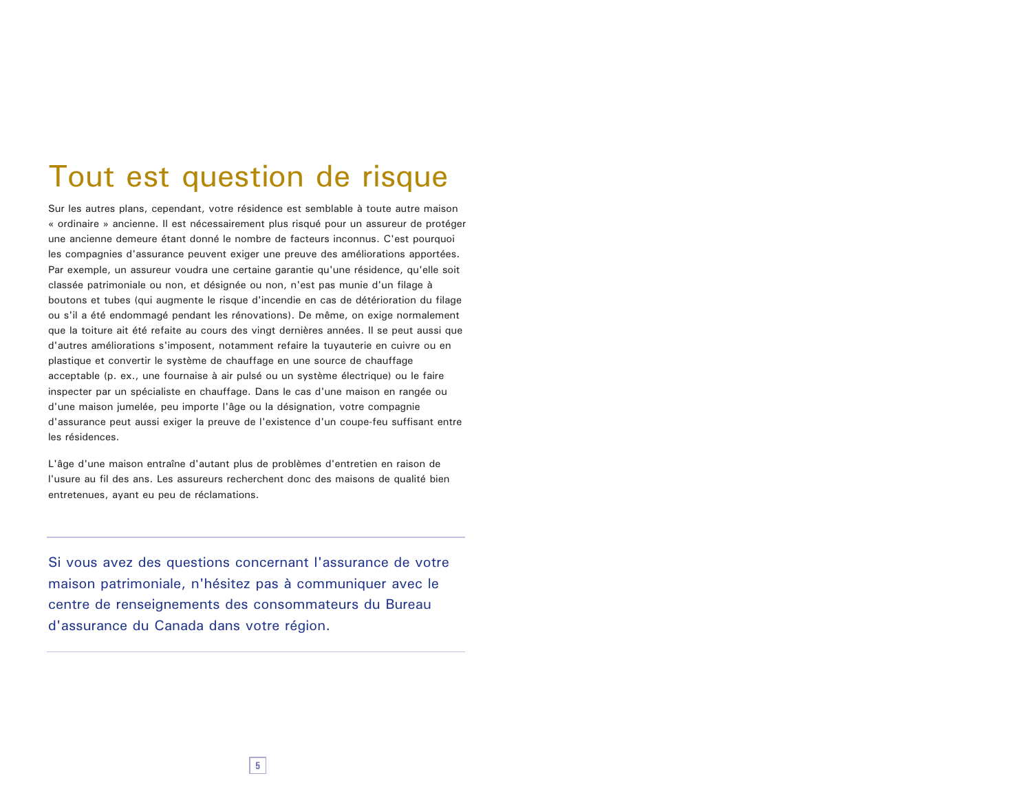## Tout est question de risque

Sur les autres plans, cependant, votre résidence est semblable à toute autre maison « ordinaire » ancienne. Il est nécessairement plus risqué pour un assureur de protéger une ancienne demeure étant donné le nombre de facteurs inconnus. C'est pourquoi les compagnies d'assurance peuvent exiger une preuve des améliorations apportées. Par exemple, un assureur voudra une certaine garantie qu'une résidence, qu'elle soit classée patrimoniale ou non, et désignée ou non, n'est pas munie d'un filage à boutons et tubes (qui augmente le risque d'incendie en cas de détérioration du filage ou s'il a été endommagé pendant les rénovations). De même, on exige normalement que la toiture ait été refaite au cours des vingt dernières années. Il se peut aussi que d'autres améliorations s'imposent, notamment refaire la tuyauterie en cuivre ou en plastique et convertir le système de chauffage en une source de chauffage acceptable (p. ex., une fournaise à air pulsé ou un système électrique) ou le faire inspecter par un spécialiste en chauffage. Dans le cas d'une maison en rangée ou d'une maison jumelée, peu importe l'âge ou la désignation, votre compagnie d'assurance peut aussi exiger la preuve de l'existence d'un coupe-feu suffisant entre les résidences.

L'âge d'une maison entraîne d'autant plus de problèmes d'entretien en raison de l'usure au fil des ans. Les assureurs recherchent donc des maisons de qualité bien entretenues, avant eu peu de réclamations.

Si vous avez des questions concernant l'assurance de votre maison patrimoniale, n'hésitez pas à communiquer avec le centre de renseignements des consommateurs du Bureau d'assurance du Canada dans votre région.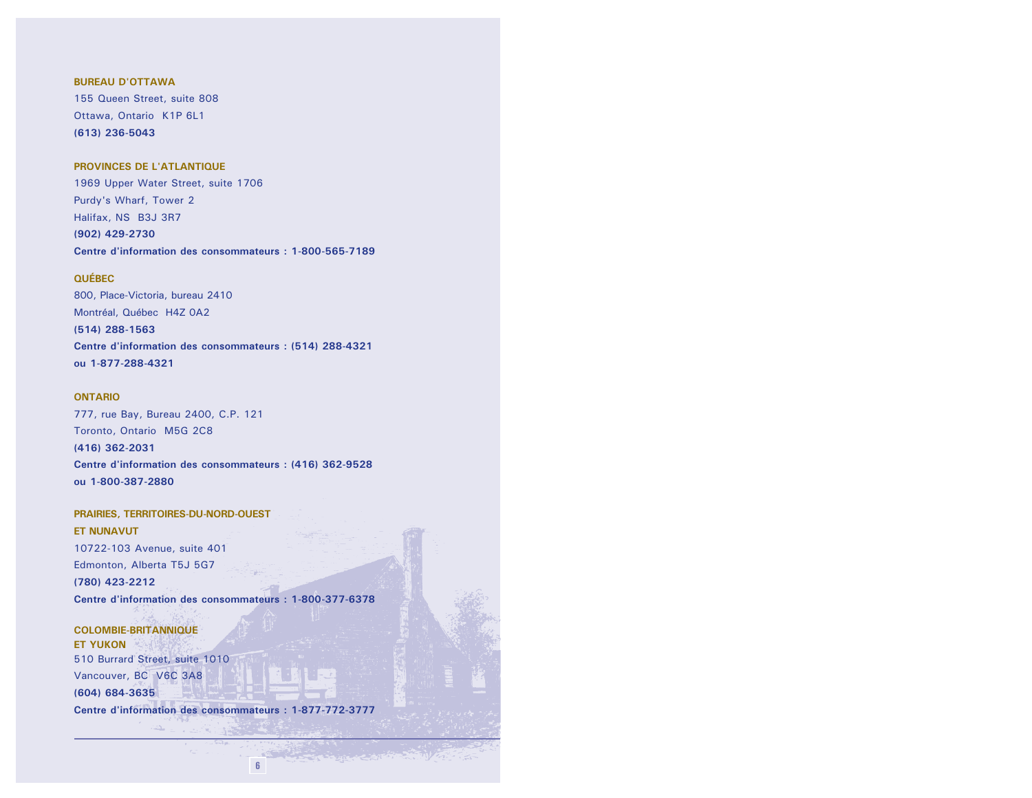#### **BUREAU D'OTTAWA**

155 Queen Street, suite 808 Ottawa, Ontario K1P 6L1 (613) 236-5043

#### PROVINCES DE L'ATLANTIQUE

1969 Upper Water Street, suite 1706 Purdy's Wharf, Tower 2 Halifax, NS B3J 3R7 (902) 429-2730 Centre d'information des consommateurs : 1-800-565-7189

#### **QUÉBEC**

800, Place-Victoria, bureau 2410 Montréal, Québec H4Z 0A2 (514) 288-1563 Centre d'information des consommateurs : (514) 288-4321 ou 1-877-288-4321

#### **ONTARIO**

777, rue Bay, Bureau 2400, C.P. 121 Toronto, Ontario M5G 2C8 (416) 362-2031 Centre d'information des consommateurs : (416) 362-9528 ou 1-800-387-2880

#### PRAIRIES, TERRITOIRES-DU-NORD-OUEST **ET NUNAVUT** 10722-103 Avenue, suite 401 Edmonton, Alberta T5J 5G7 (780) 423-2212 Centre d'information des consommateurs : 1-800-377-6378

**COLOMBIE-BRITANNIQUE ET YUKON** 510 Burrard Street, suite 1010 Vancouver, BC V6C 3A8 (604) 684-3635 Centre d'information des consommateurs : 1-877-772-3777